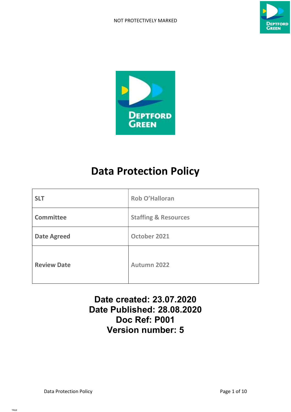# NOT PROTECTIVELY MARKED





# Data Protection Policy

| <b>SLT</b>         | Rob O'Halloran                  |
|--------------------|---------------------------------|
| <b>Committee</b>   | <b>Staffing &amp; Resources</b> |
| <b>Date Agreed</b> | October 2021                    |
| <b>Review Date</b> | Autumn 2022                     |

# Date created: 23.07.2020 Date Published: 28.08.2020 Doc Ref: P001 Version number: 5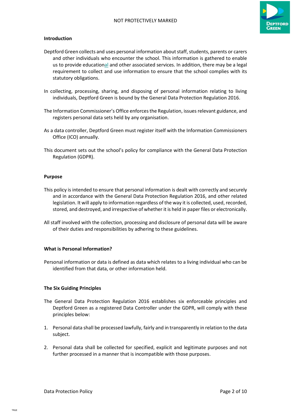

# Introduction

- Deptford Green collects and uses personal information about staff, students, parents or carers and other individuals who encounter the school. This information is gathered to enable us to provide educational and other associated services. In addition, there may be a legal requirement to collect and use information to ensure that the school complies with its statutory obligations.
- In collecting, processing, sharing, and disposing of personal information relating to living individuals, Deptford Green is bound by the General Data Protection Regulation 2016.
- The Information Commissioner's Office enforces the Regulation, issues relevant guidance, and registers personal data sets held by any organisation.
- As a data controller, Deptford Green must register itself with the Information Commissioners Office (ICO) annually.
- This document sets out the school's policy for compliance with the General Data Protection Regulation (GDPR).

#### Purpose

- This policy is intended to ensure that personal information is dealt with correctly and securely and in accordance with the General Data Protection Regulation 2016, and other related legislation. It will apply to information regardless of the way it is collected, used, recorded, stored, and destroyed, and irrespective of whether it is held in paper files or electronically.
- All staff involved with the collection, processing and disclosure of personal data will be aware of their duties and responsibilities by adhering to these guidelines.

# What is Personal Information?

Personal information or data is defined as data which relates to a living individual who can be identified from that data, or other information held.

# The Six Guiding Principles

- The General Data Protection Regulation 2016 establishes six enforceable principles and Deptford Green as a registered Data Controller under the GDPR, will comply with these principles below:
- 1. Personal data shall be processed lawfully, fairly and in transparently in relation to the data subject.
- 2. Personal data shall be collected for specified, explicit and legitimate purposes and not further processed in a manner that is incompatible with those purposes.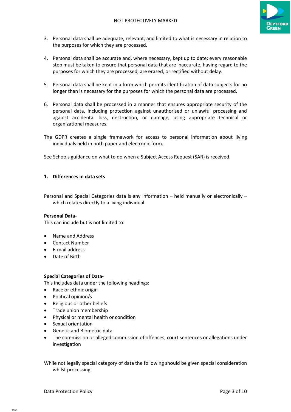

- 3. Personal data shall be adequate, relevant, and limited to what is necessary in relation to the purposes for which they are processed.
- 4. Personal data shall be accurate and, where necessary, kept up to date; every reasonable step must be taken to ensure that personal data that are inaccurate, having regard to the purposes for which they are processed, are erased, or rectified without delay.
- 5. Personal data shall be kept in a form which permits identification of data subjects for no longer than is necessary for the purposes for which the personal data are processed.
- 6. Personal data shall be processed in a manner that ensures appropriate security of the personal data, including protection against unauthorised or unlawful processing and against accidental loss, destruction, or damage, using appropriate technical or organizational measures.
- The GDPR creates a single framework for access to personal information about living individuals held in both paper and electronic form.

See Schools guidance on what to do when a Subject Access Request (SAR) is received.

# 1. Differences in data sets

Personal and Special Categories data is any information – held manually or electronically – which relates directly to a living individual.

#### Personal Data-

This can include but is not limited to:

- Name and Address
- Contact Number
- E-mail address
- Date of Birth

# Special Categories of Data-

This includes data under the following headings:

- Race or ethnic origin
- Political opinion/s
- Religious or other beliefs
- Trade union membership
- Physical or mental health or condition
- Sexual orientation
- Genetic and Biometric data
- The commission or alleged commission of offences, court sentences or allegations under investigation

While not legally special category of data the following should be given special consideration whilst processing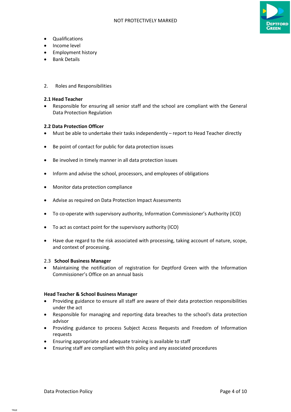

- Qualifications
- Income level
- **•** Employment history
- Bank Details
- 2. Roles and Responsibilities

# 2.1 Head Teacher

 Responsible for ensuring all senior staff and the school are compliant with the General Data Protection Regulation

# 2.2 Data Protection Officer

- Must be able to undertake their tasks independently report to Head Teacher directly
- Be point of contact for public for data protection issues
- Be involved in timely manner in all data protection issues
- Inform and advise the school, processors, and employees of obligations
- Monitor data protection compliance
- Advise as required on Data Protection Impact Assessments
- To co-operate with supervisory authority, Information Commissioner's Authority (ICO)
- To act as contact point for the supervisory authority (ICO)
- Have due regard to the risk associated with processing, taking account of nature, scope, and context of processing.

# 2.3 School Business Manager

 Maintaining the notification of registration for Deptford Green with the Information Commissioner's Office on an annual basis

# Head Teacher & School Business Manager

- Providing guidance to ensure all staff are aware of their data protection responsibilities under the act
- Responsible for managing and reporting data breaches to the school's data protection advisor
- Providing guidance to process Subject Access Requests and Freedom of Information requests
- Ensuring appropriate and adequate training is available to staff
- Ensuring staff are compliant with this policy and any associated procedures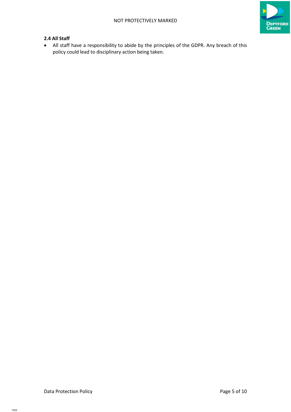

# 2.4 All Staff

 All staff have a responsibility to abide by the principles of the GDPR. Any breach of this policy could lead to disciplinary action being taken.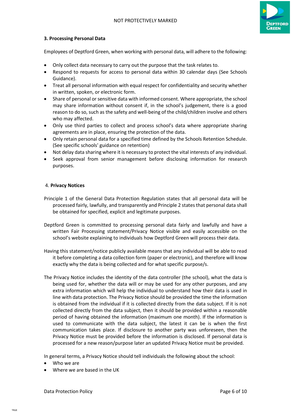

# 3. Processing Personal Data

Employees of Deptford Green, when working with personal data, will adhere to the following:

- Only collect data necessary to carry out the purpose that the task relates to.
- Respond to requests for access to personal data within 30 calendar days (See Schools Guidance).
- Treat all personal information with equal respect for confidentiality and security whether in written, spoken, or electronic form.
- Share of personal or sensitive data with informed consent. Where appropriate, the school may share information without consent if, in the school's judgement, there is a good reason to do so, such as the safety and well-being of the child/children involve and others who may affected.
- Only use third parties to collect and process school's data where appropriate sharing agreements are in place, ensuring the protection of the data.
- Only retain personal data for a specified time defined by the Schools Retention Schedule. (See specific schools' guidance on retention)
- Not delay data sharing where it is necessary to protect the vital interests of any individual.
- Seek approval from senior management before disclosing information for research purposes.

#### 4. Privacy Notices

- Principle 1 of the General Data Protection Regulation states that all personal data will be processed fairly, lawfully, and transparently and Principle 2 states that personal data shall be obtained for specified, explicit and legitimate purposes.
- Deptford Green is committed to processing personal data fairly and lawfully and have a written Fair Processing statement/Privacy Notice visible and easily accessible on the school's website explaining to individuals how Deptford Green will process their data.
- Having this statement/notice publicly available means that any individual will be able to read it before completing a data collection form (paper or electronic), and therefore will know exactly why the data is being collected and for what specific purpose/s.
- The Privacy Notice includes the identity of the data controller (the school), what the data is being used for, whether the data will or may be used for any other purposes, and any extra information which will help the individual to understand how their data is used in line with data protection. The Privacy Notice should be provided the time the information is obtained from the individual if it is collected directly from the data subject. If it is not collected directly from the data subject, then it should be provided within a reasonable period of having obtained the information (maximum one month). If the information is used to communicate with the data subject, the latest it can be is when the first communication takes place. If disclosure to another party was unforeseen, then the Privacy Notice must be provided before the information is disclosed. If personal data is processed for a new reason/purpose later an updated Privacy Notice must be provided.

In general terms, a Privacy Notice should tell individuals the following about the school:

- Who we are
- Where we are based in the UK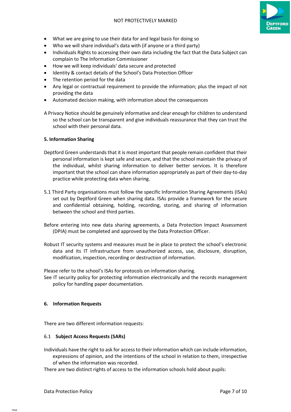

- What we are going to use their data for and legal basis for doing so
- Who we will share individual's data with (if anyone or a third party)
- Individuals Rights to accessing their own data including the fact that the Data Subject can complain to The Information Commissioner
- How we will keep individuals' data secure and protected
- Identity & contact details of the School's Data Protection Officer
- The retention period for the data
- Any legal or contractual requirement to provide the information; plus the impact of not providing the data
- Automated decision making, with information about the consequences

A Privacy Notice should be genuinely informative and clear enough for children to understand so the school can be transparent and give individuals reassurance that they can trust the school with their personal data.

# 5. Information Sharing

- Deptford Green understands that it is most important that people remain confident that their personal information is kept safe and secure, and that the school maintain the privacy of the individual, whilst sharing information to deliver better services. It is therefore important that the school can share information appropriately as part of their day-to-day practice while protecting data when sharing.
- 5.1 Third Party organisations must follow the specific Information Sharing Agreements (ISAs) set out by Deptford Green when sharing data. ISAs provide a framework for the secure and confidential obtaining, holding, recording, storing, and sharing of information between the school and third parties.
- Before entering into new data sharing agreements, a Data Protection Impact Assessment (DPIA) must be completed and approved by the Data Protection Officer.
- Robust IT security systems and measures must be in place to protect the school's electronic data and its IT infrastructure from unauthorized access, use, disclosure, disruption, modification, inspection, recording or destruction of information.

Please refer to the school's ISAs for protocols on information sharing.

See IT security policy for protecting information electronically and the records management policy for handling paper documentation.

# 6. Information Requests

There are two different information requests:

# 6.1 Subject Access Requests (SARs)

Individuals have the right to ask for access to their information which can include information, expressions of opinion, and the intentions of the school in relation to them, irrespective of when the information was recorded.

There are two distinct rights of access to the information schools hold about pupils: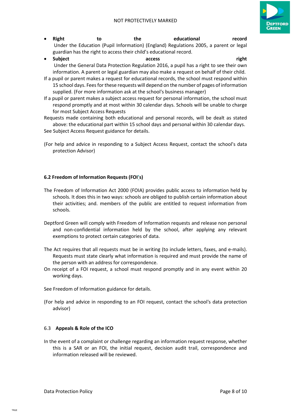

- Right to the educational record Under the Education (Pupil Information) (England) Regulations 2005, a parent or legal guardian has the right to access their child's educational record.
- Subject **access** access and the structure of the structure of the structure of the structure of the structure of the structure of the structure of the structure of the structure of the structure of the structure of the s Under the General Data Protection Regulation 2016, a pupil has a right to see their own information. A parent or legal guardian may also make a request on behalf of their child.
- If a pupil or parent makes a request for educational records, the school must respond within 15 school days. Fees for these requests will depend on the number of pages of information supplied. (For more information ask at the school's business manager)
- If a pupil or parent makes a subject access request for personal information, the school must respond promptly and at most within 30 calendar days. Schools will be unable to charge for most Subject Access Requests

Requests made containing both educational and personal records, will be dealt as stated above: the educational part within 15 school days and personal within 30 calendar days.

- See Subject Access Request guidance for details.
- (For help and advice in responding to a Subject Access Request, contact the school's data protection Advisor)

# 6.2 Freedom of Information Requests (FOI's)

- The Freedom of Information Act 2000 (FOIA) provides public access to information held by schools. It does this in two ways: schools are obliged to publish certain information about their activities; and. members of the public are entitled to request information from schools.
- Deptford Green will comply with Freedom of Information requests and release non personal and non-confidential information held by the school, after applying any relevant exemptions to protect certain categories of data.
- The Act requires that all requests must be in writing (to include letters, faxes, and e-mails). Requests must state clearly what information is required and must provide the name of the person with an address for correspondence.
- On receipt of a FOI request, a school must respond promptly and in any event within 20 working days.

See Freedom of Information guidance for details.

(For help and advice in responding to an FOI request, contact the school's data protection advisor)

# 6.3 Appeals & Role of the ICO

In the event of a complaint or challenge regarding an information request response, whether this is a SAR or an FOI, the initial request, decision audit trail, correspondence and information released will be reviewed.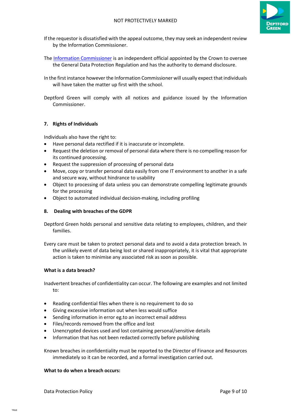

- If the requestor is dissatisfied with the appeal outcome, they may seek an independent review by the Information Commissioner.
- The Information Commissioner is an independent official appointed by the Crown to oversee the General Data Protection Regulation and has the authority to demand disclosure.
- In the first instance however the Information Commissioner will usually expect that individuals will have taken the matter up first with the school.
- Deptford Green will comply with all notices and guidance issued by the Information Commissioner.

# 7. Rights of Individuals

Individuals also have the right to:

- Have personal data rectified if it is inaccurate or incomplete.
- Request the deletion or removal of personal data where there is no compelling reason for its continued processing.
- Request the suppression of processing of personal data
- Move, copy or transfer personal data easily from one IT environment to another in a safe and secure way, without hindrance to usability
- Object to processing of data unless you can demonstrate compelling legitimate grounds for the processing
- Object to automated individual decision-making, including profiling

# 8. Dealing with breaches of the GDPR

Deptford Green holds personal and sensitive data relating to employees, children, and their families.

Every care must be taken to protect personal data and to avoid a data protection breach. In the unlikely event of data being lost or shared inappropriately, it is vital that appropriate action is taken to minimise any associated risk as soon as possible.

# What is a data breach?

Inadvertent breaches of confidentiality can occur. The following are examples and not limited to:

- Reading confidential files when there is no requirement to do so
- Giving excessive information out when less would suffice
- Sending information in error eg.to an incorrect email address
- Files/records removed from the office and lost
- Unencrypted devices used and lost containing personal/sensitive details
- Information that has not been redacted correctly before publishing

Known breaches in confidentiality must be reported to the Director of Finance and Resources immediately so it can be recorded, and a formal investigation carried out.

# What to do when a breach occurs: